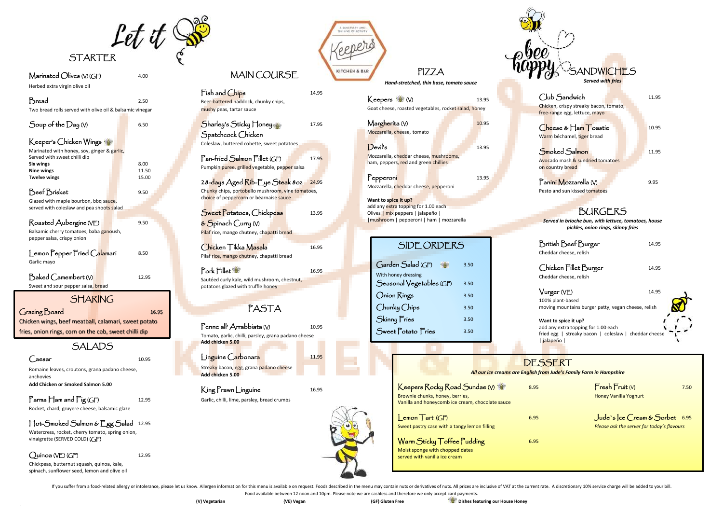Bread 2.50 Two bread rolls served with olive oil & balsamic vinegar

Food available between 12 noon and 10pm. Please note we are cashless and therefore we only accept card payments.

)



## $\mathsf{Marinated}$   $\mathsf{Olives}$   $\wedge$   $\mathsf{G}\mathsf{F}$   $4.00$

Herbed extra virgin olive oil

 $Fish$  and  $Chips$  14.95 Beer-battered haddock, chunky chips, mushy peas, tartar sauce

28-days Aged Rib-Eye Steak 80z 24.95 Chunky chips, portobello mushroom, vine tomatoes, choice of peppercorn or béarnaise sauce

Sweet Potatoes, Chickpeas 13.95 & Spinach Curry (V) Pilaf rice, mango chutney, chapatti bread

| Soup of the Day $\mathsf{\scriptstyle W}$                                                                                                                    | 6.50                   |
|--------------------------------------------------------------------------------------------------------------------------------------------------------------|------------------------|
| Keeper's Chicken Wings<br>Marinated with honey, soy, ginger & garlic,<br>Served with sweet chilli dip                                                        |                        |
| Six wings<br><b>Nine wings</b><br><b>Twelve wings</b>                                                                                                        | 8.00<br>11.50<br>15.00 |
| Beef Brisket<br>Glazed with maple bourbon, bbq sauce,<br>served with coleslaw and pea shoots salad                                                           | 9.50                   |
| Roasted Aubergine (VE)<br>Balsamic cherry tomatoes, baba ganoush,<br>pepper salsa, crispy onion                                                              | 9.50                   |
| Lemon Pepper Fried Calamari<br>Garlic mayo                                                                                                                   | 8.50                   |
| $\operatorname{\mathsf{Baked}}\nolimits \operatorname{\mathsf{Camembert}}\nolimits \operatorname{\mathsf{W}}\nolimits$<br>Sweet and sour pepper salsa, bread | 12.95                  |
| <b>SHARING</b>                                                                                                                                               |                        |
| Grazing Board                                                                                                                                                | 16.95                  |

Chicken Tikka Masala 16.95 Pilaf rice, mango chutney, chapatti bread

## SALADS

#### $\int \text{aesar}$  10.95

Pork Fillet 16.95 Sautéed curly kale, wild mushroom, chestnut, potatoes glazed with truffle honey

Romaine leaves, croutons, grana padano cheese, anchovies **Add Chicken or Smoked Salmon 5.00**

### $\Gamma$ arma  $\Gamma$  am and  $\Gamma$ ig (GF) 12.95

Penne all'Arrabbiata (V) 10.95 Tomato, garlic, chilli, parsley, grana padano cheese **Add chicken 5.00**

Streaky bacon, egg, grana padano cheese **Add chicken 5.00**

## King Prawn Linguine 16.95

Rocket, chard, gruyere cheese, balsamic glaze

#### Hot-Smoked Salmon & Egg Salad 12.95

 fries, onion rings, corn on the cob, sweet chilli dip Chicken wings, beef meatball, calamari, sweet potato  $\blacksquare$  10.95 Mozzarella, cheese, tomato

 $Devi<sup>1</sup> s$  13.95 Mozzarella, cheddar cheese, mushrooms, ham, peppers, red and green chillies

Watercress, rocket, cherry tomato, spring onion, vinaigrette (SERVED COLD) (GF)

### $Quínoa (VE) (GF)$  12.95

Pepperoni 13.95 Mozzarella, cheddar cheese, pepperoni

Chickpeas, butternut squash, quinoa, kale, spinach, sunflower seed, lemon and olive oil

## MAIN COURSE

| Sharley's Sticky Honey                     | 17.95 |
|--------------------------------------------|-------|
| Spatchcock Chicken                         |       |
| Coleslaw, buttered cobette, sweet potatoes |       |

Pan-fried Salmon Fillet (GF) 17.95 Pumpkin puree, grilled vegetable, pepper salsa

# PASTA

Garlic, chilli, lime, parsley, bread crumbs



id live or act

# PIZZA

*Hand-stretched, thin base, tomato sauce*

| Keepers <b>M</b> W                                   | 13.95 |
|------------------------------------------------------|-------|
| Goat cheese, roasted vegetables, rocket salad, honey |       |
|                                                      |       |

**Want to spice it up?** add any extra topping for 1.00 each Olives | mix peppers | jalapeño | |mushroom | pepperoni | ham | mozzarella

| ANDWICHES<br><b>Served with fries</b>                                                                                              |       |
|------------------------------------------------------------------------------------------------------------------------------------|-------|
| Club Sandwich<br>Chicken, crispy streaky bacon, tomato,<br>free-range egg, lettuce, mayo                                           | 11.95 |
| Cheese & Ham Toastie<br>Warm béchamel, tiger bread                                                                                 | 10.95 |
| Smoked Salmon<br>Avocado mash & sundried tomatoes<br>on country bread                                                              | 11.95 |
| Panini Mozzarella (V)<br>Pesto and sun kissed tomatoes                                                                             | 9.95  |
| <b>BURGERS</b><br>Served in brioche bun, with lettuce, tomatoes, house<br>pickles, onion rings, skinny fries                       |       |
| British Beef Burger<br>Cheddar cheese, relish                                                                                      | 14.95 |
| Chicken Fillet Burger<br>Cheddar cheese, relish                                                                                    | 14.95 |
| Vurger (VE)<br>100% plant-based<br>moving mountains burger patty, vegan cheese, relish                                             | 14.95 |
| Want to spice it up?<br>add any extra topping for 1.00 each<br>fried egg   streaky bacon   coleslaw   cheddar cheese<br>  jalapeño |       |
| SSERT<br>from Jude's Family Farm in Hampshire                                                                                      |       |
|                                                                                                                                    |       |

 $\sum_{x} \frac{1}{x} \sum_{x} \frac{1}{x} \sum_{y} \frac{1}{y} \sum_{y} \frac{1}{y} \sum_{z} \frac{1}{y} \sum_{z} \frac{1}{y} \sum_{z} \frac{1}{y} \sum_{z} \frac{1}{y} \sum_{z} \frac{1}{y} \sum_{z} \frac{1}{y} \sum_{z} \frac{1}{y} \sum_{z} \frac{1}{y} \sum_{z} \frac{1}{y} \sum_{z} \frac{1}{y} \sum_{z} \frac{1}{y} \sum_{z} \frac{1}{y} \sum_{z} \frac{1}{y} \sum_{z} \frac{1}{y} \sum_{z$ Honey Vanilla Yoghurt

Jude's Ice Cream & Sorbet 6.95 Please ask the server for today's flavours

| SIDE ORDERS                              |      |
|------------------------------------------|------|
|                                          |      |
| Garden Salad (GF)<br>With honey dressing | 3.50 |
| Seasonal Vegetables (GF)                 | 3.50 |
| Onion Rings                              | 3.50 |
| Chunky Chips                             | 3.50 |
| Skinny Fries                             | 3.50 |
| Sweet Potato Fries                       | 3.50 |
|                                          |      |

## DF.S

**All our ice creams are English from** *All* 

| Keepers Rocky Road Sundae (V)<br>Brownie chunks, honey, berries,<br>Vanilla and honeycomb ice cream, chocolate sauce | 8.95 |
|----------------------------------------------------------------------------------------------------------------------|------|
| $\mathsf{l}$ emon $\mathsf{T}$ art (GF)<br>Sweet pastry case with a tangy lemon filling                              | 6.95 |
| Warm Sticky Toffee Pudding<br>Moist sponge with chopped dates<br>conied with vanilla ice croam                       | 6.95 |

served with vanilla ice cream

If you suffer from a food-related allergy or intolerance, please let us know. Allergen information for this menu is available on request. Foods described in the menu may contain nuts or derivatives of nuts. All prices are



Linguine Carbonara 11.95